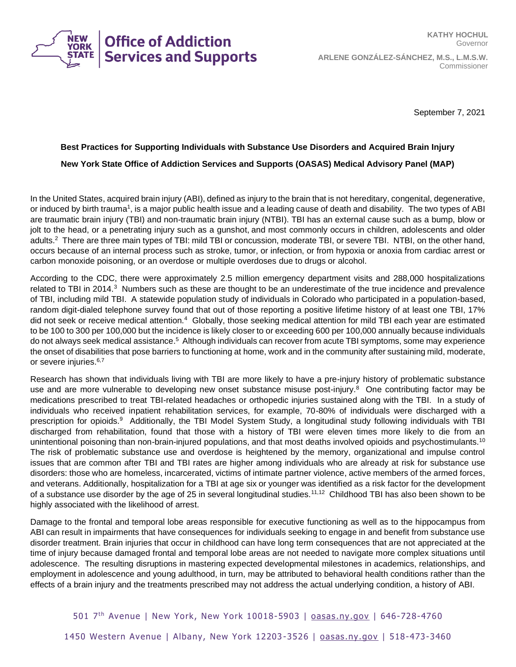

September 7, 2021

## **Best Practices for Supporting Individuals with Substance Use Disorders and Acquired Brain Injury New York State Office of Addiction Services and Supports (OASAS) Medical Advisory Panel (MAP)**

In the United States, acquired brain injury (ABI), defined as injury to the brain that is not hereditary, congenital, degenerative, or induced by birth trauma<sup>1</sup>, is a major public health issue and a leading cause of death and disability. The two types of ABI are traumatic brain injury (TBI) and non-traumatic brain injury (NTBI). TBI has an external cause such as a bump, blow or jolt to the head, or a penetrating injury such as a gunshot, and most commonly occurs in children, adolescents and older adults.<sup>2</sup> There are three main types of TBI: mild TBI or concussion, moderate TBI, or severe TBI. NTBI, on the other hand, occurs because of an internal process such as stroke, tumor, or infection, or from hypoxia or anoxia from cardiac arrest or carbon monoxide poisoning, or an overdose or multiple overdoses due to drugs or alcohol.

According to the CDC, there were approximately 2.5 million emergency department visits and 288,000 hospitalizations related to TBI in 2014.<sup>3</sup> Numbers such as these are thought to be an underestimate of the true incidence and prevalence of TBI, including mild TBI. A statewide population study of individuals in Colorado who participated in a population-based, random digit-dialed telephone survey found that out of those reporting a positive lifetime history of at least one TBI, 17% did not seek or receive medical attention.<sup>4</sup> Globally, those seeking medical attention for mild TBI each year are estimated to be 100 to 300 per 100,000 but the incidence is likely closer to or exceeding 600 per 100,000 annually because individuals do not always seek medical assistance.<sup>5</sup> Although individuals can recover from acute TBI symptoms, some may experience the onset of disabilities that pose barriers to functioning at home, work and in the community after sustaining mild, moderate, or severe injuries.<sup>6,7</sup>

Research has shown that individuals living with TBI are more likely to have a pre-injury history of problematic substance use and are more vulnerable to developing new onset substance misuse post-injury.<sup>8</sup> One contributing factor may be medications prescribed to treat TBI-related headaches or orthopedic injuries sustained along with the TBI. In a study of individuals who received inpatient rehabilitation services, for example, 70-80% of individuals were discharged with a prescription for opioids.<sup>9</sup> Additionally, the TBI Model System Study, a longitudinal study following individuals with TBI discharged from rehabilitation, found that those with a history of TBI were eleven times more likely to die from an unintentional poisoning than non-brain-injured populations, and that most deaths involved opioids and psychostimulants.<sup>10</sup> The risk of problematic substance use and overdose is heightened by the memory, organizational and impulse control issues that are common after TBI and TBI rates are higher among individuals who are already at risk for substance use disorders: those who are homeless, incarcerated, victims of intimate partner violence, active members of the armed forces, and veterans. Additionally, hospitalization for a TBI at age six or younger was identified as a risk factor for the development of a substance use disorder by the age of 25 in several longitudinal studies.<sup>11,12</sup> Childhood TBI has also been shown to be highly associated with the likelihood of arrest.

Damage to the frontal and temporal lobe areas responsible for executive functioning as well as to the hippocampus from ABI can result in impairments that have consequences for individuals seeking to engage in and benefit from substance use disorder treatment. Brain injuries that occur in childhood can have long term consequences that are not appreciated at the time of injury because damaged frontal and temporal lobe areas are not needed to navigate more complex situations until adolescence. The resulting disruptions in mastering expected developmental milestones in academics, relationships, and employment in adolescence and young adulthood, in turn, may be attributed to behavioral health conditions rather than the effects of a brain injury and the treatments prescribed may not address the actual underlying condition, a history of ABI.

501 7<sup>th</sup> Avenue | New York, New York 10018-5903 | **oasas.ny.gov | 646-728-4760**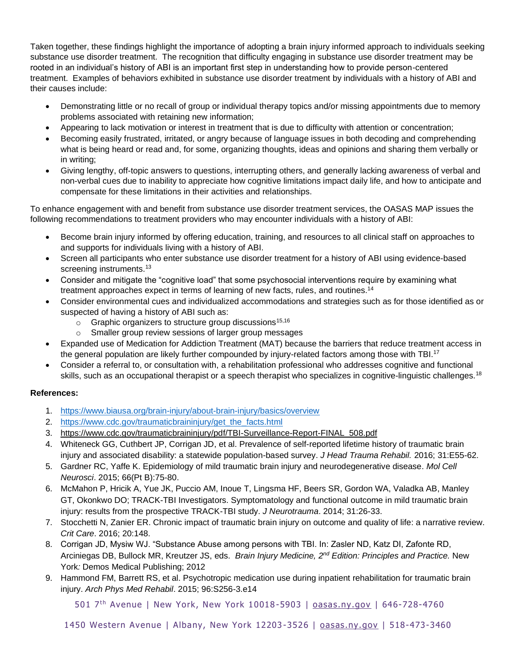Taken together, these findings highlight the importance of adopting a brain injury informed approach to individuals seeking substance use disorder treatment. The recognition that difficulty engaging in substance use disorder treatment may be rooted in an individual's history of ABI is an important first step in understanding how to provide person-centered treatment. Examples of behaviors exhibited in substance use disorder treatment by individuals with a history of ABI and their causes include:

- Demonstrating little or no recall of group or individual therapy topics and/or missing appointments due to memory problems associated with retaining new information;
- Appearing to lack motivation or interest in treatment that is due to difficulty with attention or concentration;
- Becoming easily frustrated, irritated, or angry because of language issues in both decoding and comprehending what is being heard or read and, for some, organizing thoughts, ideas and opinions and sharing them verbally or in writing;
- Giving lengthy, off-topic answers to questions, interrupting others, and generally lacking awareness of verbal and non-verbal cues due to inability to appreciate how cognitive limitations impact daily life, and how to anticipate and compensate for these limitations in their activities and relationships.

To enhance engagement with and benefit from substance use disorder treatment services, the OASAS MAP issues the following recommendations to treatment providers who may encounter individuals with a history of ABI:

- Become brain injury informed by offering education, training, and resources to all clinical staff on approaches to and supports for individuals living with a history of ABI.
- Screen all participants who enter substance use disorder treatment for a history of ABI using evidence-based screening instruments.<sup>13</sup>
- Consider and mitigate the "cognitive load" that some psychosocial interventions require by examining what treatment approaches expect in terms of learning of new facts, rules, and routines.<sup>14</sup>
- Consider environmental cues and individualized accommodations and strategies such as for those identified as or suspected of having a history of ABI such as:
	- $\circ$  Graphic organizers to structure group discussions<sup>15,16</sup>
	- o Smaller group review sessions of larger group messages
- Expanded use of Medication for Addiction Treatment (MAT) because the barriers that reduce treatment access in the general population are likely further compounded by injury-related factors among those with TBI.<sup>17</sup>
- Consider a referral to, or consultation with, a rehabilitation professional who addresses cognitive and functional skills, such as an occupational therapist or a speech therapist who specializes in cognitive-linguistic challenges.<sup>18</sup>

## **References:**

- 1. <https://www.biausa.org/brain-injury/about-brain-injury/basics/overview>
- 2. [https://www.cdc.gov/traumaticbraininjury/get\\_the\\_facts.html](https://www.cdc.gov/traumaticbraininjury/get_the_facts.html)
- 3. [https://www.cdc.gov/traumaticbraininjury/pdf/TBI-Surveillance-Report-FINAL\\_508.pdf](https://www.cdc.gov/traumaticbraininjury/pdf/TBI-Surveillance-Report-FINAL_508.pdf)
- 4. Whiteneck GG, Cuthbert JP, Corrigan JD, et al. Prevalence of self-reported lifetime history of traumatic brain injury and associated disability: a statewide population-based survey. *J Head Trauma Rehabil.* 2016; 31:E55-62.
- 5. Gardner RC, Yaffe K. Epidemiology of mild traumatic brain injury and neurodegenerative disease. *Mol Cell Neurosci*. 2015; 66(Pt B):75-80.
- 6. McMahon P, Hricik A, Yue JK, Puccio AM, Inoue T, Lingsma HF, Beers SR, Gordon WA, Valadka AB, Manley GT, Okonkwo DO; TRACK-TBI Investigators. Symptomatology and functional outcome in mild traumatic brain injury: results from the prospective TRACK-TBI study. *J Neurotrauma*. 2014; 31:26-33.
- 7. Stocchetti N, Zanier ER. Chronic impact of traumatic brain injury on outcome and quality of life: a narrative review. *Crit Care*. 2016; 20:148.
- 8. Corrigan JD, Mysiw WJ. "Substance Abuse among persons with TBI. In: Zasler ND, Katz DI, Zafonte RD, Arciniegas DB, Bullock MR, Kreutzer JS, eds. *Brain Injury Medicine, 2nd Edition: Principles and Practice.* New York*:* Demos Medical Publishing; 2012
- 9. Hammond FM, Barrett RS, et al. Psychotropic medication use during inpatient rehabilitation for traumatic brain injury. *Arch Phys Med Rehabil*. 2015; 96:S256-3.e14

501 7<sup>th</sup> Avenue | New York, New York 10018-5903 | [oasas.ny.gov](http://www.oasas.ny.gov/) | 646-728-4760

1450 Western Avenue | Albany, New York 12203 -3526 | [oasas.ny.gov](http://www.oasas.ny.gov/) | 518-473-3460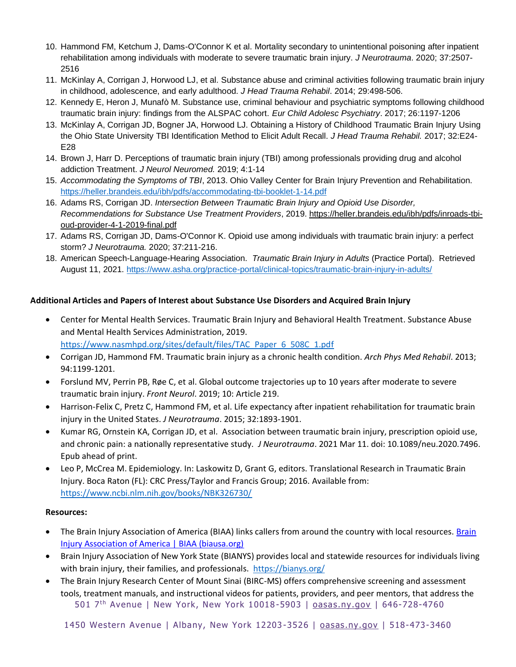- 10. Hammond FM, Ketchum J, Dams-O'Connor K et al. Mortality secondary to unintentional poisoning after inpatient rehabilitation among individuals with moderate to severe traumatic brain injury. *J Neurotrauma*. 2020; 37:2507- 2516
- 11. McKinlay A, Corrigan J, Horwood LJ, et al. Substance abuse and criminal activities following traumatic brain injury in childhood, adolescence, and early adulthood. *J Head Trauma Rehabil*. 2014; 29:498-506.
- 12. Kennedy E, Heron J, Munafò M. Substance use, criminal behaviour and psychiatric symptoms following childhood traumatic brain injury: findings from the ALSPAC cohort. *Eur Child Adolesc Psychiatry*. 2017; 26:1197-1206
- 13. McKinlay A, Corrigan JD, Bogner JA, Horwood LJ. Obtaining a History of Childhood Traumatic Brain Injury Using the Ohio State University TBI Identification Method to Elicit Adult Recall. *J Head Trauma Rehabil.* 2017; 32:E24- E28
- 14. Brown J, Harr D. Perceptions of traumatic brain injury (TBI) among professionals providing drug and alcohol addiction Treatment. *J Neurol Neuromed.* 2019; 4:1-14
- 15. *Accommodating the Symptoms of TBI*, 2013. Ohio Valley Center for Brain Injury Prevention and Rehabilitation. <https://heller.brandeis.edu/ibh/pdfs/accommodating-tbi-booklet-1-14.pdf>
- 16. Adams RS, Corrigan JD. *Intersection Between Traumatic Brain Injury and Opioid Use Disorder, Recommendations for Substance Use Treatment Providers*, 2019. [https://heller.brandeis.edu/ibh/pdfs/inroads-tbi](https://heller.brandeis.edu/ibh/pdfs/inroads-tbi-oud-provider-4-1-2019-final.pdf)[oud-provider-4-1-2019-final.pdf](https://heller.brandeis.edu/ibh/pdfs/inroads-tbi-oud-provider-4-1-2019-final.pdf)
- 17. Adams RS, Corrigan JD, Dams-O'Connor K. Opioid use among individuals with traumatic brain injury: a perfect storm? *J Neurotrauma.* 2020; 37:211-216.
- 18. American Speech-Language-Hearing Association. *Traumatic Brain Injury in Adults* (Practice Portal). Retrieved August 11, 2021.<https://www.asha.org/practice-portal/clinical-topics/traumatic-brain-injury-in-adults/>

## **Additional Articles and Papers of Interest about Substance Use Disorders and Acquired Brain Injury**

- Center for Mental Health Services. Traumatic Brain Injury and Behavioral Health Treatment. Substance Abuse and Mental Health Services Administration, 2019. [https://www.nasmhpd.org/sites/default/files/TAC\\_Paper\\_6\\_508C\\_1.pdf](https://www.nasmhpd.org/sites/default/files/TAC_Paper_6_508C_1.pdf)
- Corrigan JD, Hammond FM. Traumatic brain injury as a chronic health condition. *Arch Phys Med Rehabil*. 2013; 94:1199-1201.
- Forslund MV, Perrin PB, Røe C, et al. Global outcome trajectories up to 10 years after moderate to severe traumatic brain injury. *Front Neurol*. 2019; 10: Article 219.
- Harrison-Felix C, Pretz C, Hammond FM, et al. Life expectancy after inpatient rehabilitation for traumatic brain injury in the United States. *J Neurotrauma*. 2015; 32:1893-1901.
- Kumar RG, Ornstein KA, Corrigan JD, et al. Association between traumatic brain injury, prescription opioid use, and chronic pain: a nationally representative study. *J Neurotrauma*. 2021 Mar 11. doi: 10.1089/neu.2020.7496. Epub ahead of print.
- Leo P, McCrea M. Epidemiology. In: Laskowitz D, Grant G, editors. Translational Research in Traumatic Brain Injury. Boca Raton (FL): CRC Press/Taylor and Francis Group; 2016. Available from: <https://www.ncbi.nlm.nih.gov/books/NBK326730/>

## **Resources:**

- The [Brain](https://www.biausa.org/) Injury Association of America (BIAA) links callers from around the country with local resources. Brain [Injury Association of America | BIAA \(biausa.org\)](https://www.biausa.org/)
- Brain Injury Association of New York State (BIANYS) provides local and statewide resources for individuals living with brain injury, their families, and professionals. <https://bianys.org/>
- 501 7<sup>th</sup> Avenue | New York, New York 10018-5903 | **oasas.ny.gov | 646-728-4760** • The Brain Injury Research Center of Mount Sinai (BIRC-MS) offers comprehensive screening and assessment tools, treatment manuals, and instructional videos for patients, providers, and peer mentors, that address the